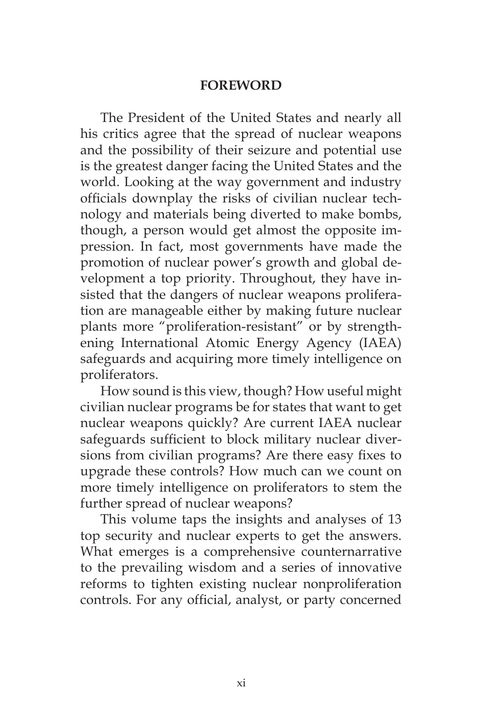## **FOREWORD**

The President of the United States and nearly all his critics agree that the spread of nuclear weapons and the possibility of their seizure and potential use is the greatest danger facing the United States and the world. Looking at the way government and industry officials downplay the risks of civilian nuclear technology and materials being diverted to make bombs, though, a person would get almost the opposite impression. In fact, most governments have made the promotion of nuclear power's growth and global development a top priority. Throughout, they have insisted that the dangers of nuclear weapons proliferation are manageable either by making future nuclear plants more "proliferation-resistant" or by strengthening International Atomic Energy Agency (IAEA) safeguards and acquiring more timely intelligence on proliferators.

How sound is this view, though? How useful might civilian nuclear programs be for states that want to get nuclear weapons quickly? Are current IAEA nuclear safeguards sufficient to block military nuclear diversions from civilian programs? Are there easy fixes to upgrade these controls? How much can we count on more timely intelligence on proliferators to stem the further spread of nuclear weapons?

This volume taps the insights and analyses of 13 top security and nuclear experts to get the answers. What emerges is a comprehensive counternarrative to the prevailing wisdom and a series of innovative reforms to tighten existing nuclear nonproliferation controls. For any official, analyst, or party concerned